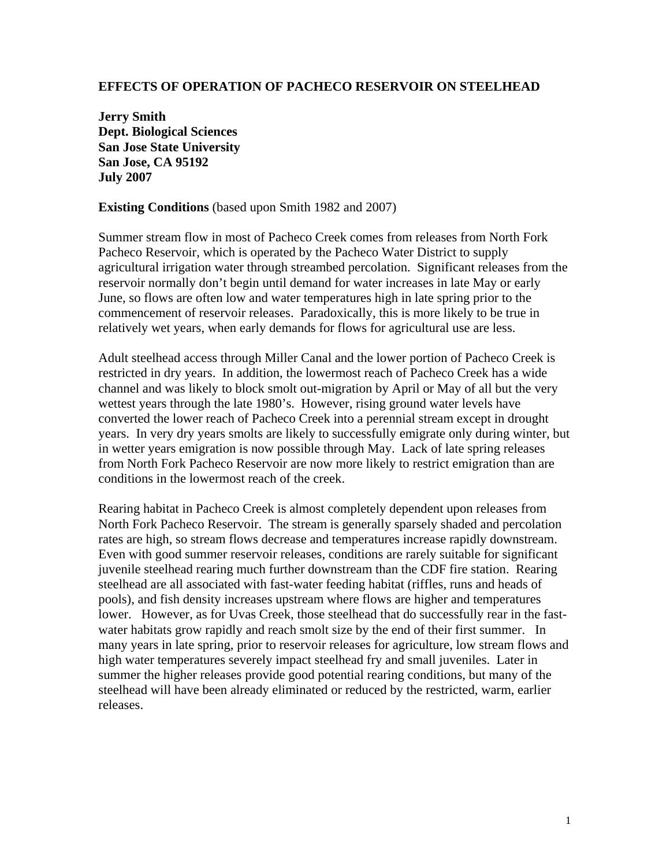## **EFFECTS OF OPERATION OF PACHECO RESERVOIR ON STEELHEAD**

**Jerry Smith Dept. Biological Sciences San Jose State University San Jose, CA 95192 July 2007** 

**Existing Conditions** (based upon Smith 1982 and 2007)

Summer stream flow in most of Pacheco Creek comes from releases from North Fork Pacheco Reservoir, which is operated by the Pacheco Water District to supply agricultural irrigation water through streambed percolation. Significant releases from the reservoir normally don't begin until demand for water increases in late May or early June, so flows are often low and water temperatures high in late spring prior to the commencement of reservoir releases. Paradoxically, this is more likely to be true in relatively wet years, when early demands for flows for agricultural use are less.

Adult steelhead access through Miller Canal and the lower portion of Pacheco Creek is restricted in dry years. In addition, the lowermost reach of Pacheco Creek has a wide channel and was likely to block smolt out-migration by April or May of all but the very wettest years through the late 1980's. However, rising ground water levels have converted the lower reach of Pacheco Creek into a perennial stream except in drought years. In very dry years smolts are likely to successfully emigrate only during winter, but in wetter years emigration is now possible through May. Lack of late spring releases from North Fork Pacheco Reservoir are now more likely to restrict emigration than are conditions in the lowermost reach of the creek.

Rearing habitat in Pacheco Creek is almost completely dependent upon releases from North Fork Pacheco Reservoir. The stream is generally sparsely shaded and percolation rates are high, so stream flows decrease and temperatures increase rapidly downstream. Even with good summer reservoir releases, conditions are rarely suitable for significant juvenile steelhead rearing much further downstream than the CDF fire station. Rearing steelhead are all associated with fast-water feeding habitat (riffles, runs and heads of pools), and fish density increases upstream where flows are higher and temperatures lower. However, as for Uvas Creek, those steelhead that do successfully rear in the fastwater habitats grow rapidly and reach smolt size by the end of their first summer. In many years in late spring, prior to reservoir releases for agriculture, low stream flows and high water temperatures severely impact steelhead fry and small juveniles. Later in summer the higher releases provide good potential rearing conditions, but many of the steelhead will have been already eliminated or reduced by the restricted, warm, earlier releases.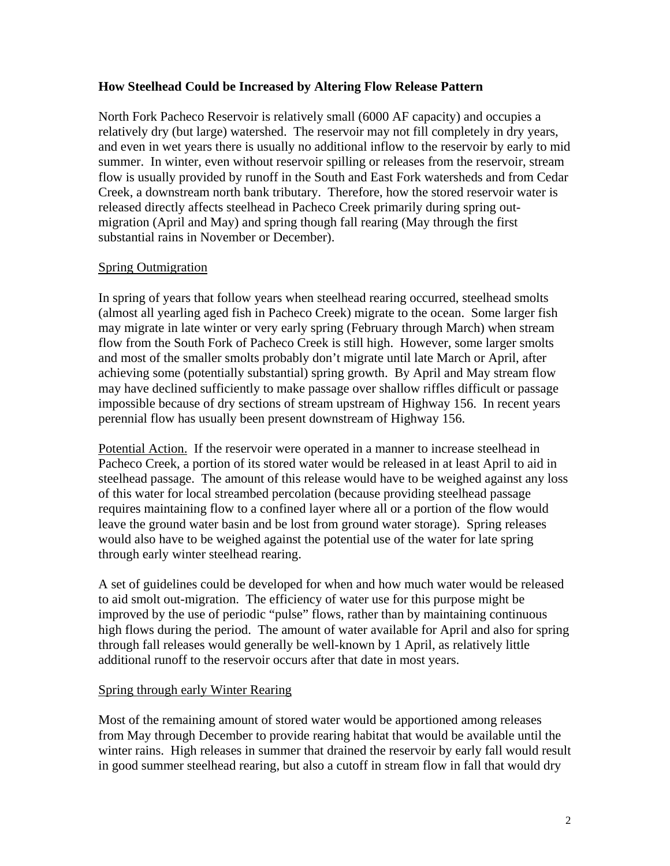## **How Steelhead Could be Increased by Altering Flow Release Pattern**

North Fork Pacheco Reservoir is relatively small (6000 AF capacity) and occupies a relatively dry (but large) watershed. The reservoir may not fill completely in dry years, and even in wet years there is usually no additional inflow to the reservoir by early to mid summer. In winter, even without reservoir spilling or releases from the reservoir, stream flow is usually provided by runoff in the South and East Fork watersheds and from Cedar Creek, a downstream north bank tributary. Therefore, how the stored reservoir water is released directly affects steelhead in Pacheco Creek primarily during spring outmigration (April and May) and spring though fall rearing (May through the first substantial rains in November or December).

# Spring Outmigration

In spring of years that follow years when steelhead rearing occurred, steelhead smolts (almost all yearling aged fish in Pacheco Creek) migrate to the ocean. Some larger fish may migrate in late winter or very early spring (February through March) when stream flow from the South Fork of Pacheco Creek is still high. However, some larger smolts and most of the smaller smolts probably don't migrate until late March or April, after achieving some (potentially substantial) spring growth. By April and May stream flow may have declined sufficiently to make passage over shallow riffles difficult or passage impossible because of dry sections of stream upstream of Highway 156. In recent years perennial flow has usually been present downstream of Highway 156.

Potential Action. If the reservoir were operated in a manner to increase steelhead in Pacheco Creek, a portion of its stored water would be released in at least April to aid in steelhead passage. The amount of this release would have to be weighed against any loss of this water for local streambed percolation (because providing steelhead passage requires maintaining flow to a confined layer where all or a portion of the flow would leave the ground water basin and be lost from ground water storage). Spring releases would also have to be weighed against the potential use of the water for late spring through early winter steelhead rearing.

A set of guidelines could be developed for when and how much water would be released to aid smolt out-migration. The efficiency of water use for this purpose might be improved by the use of periodic "pulse" flows, rather than by maintaining continuous high flows during the period. The amount of water available for April and also for spring through fall releases would generally be well-known by 1 April, as relatively little additional runoff to the reservoir occurs after that date in most years.

## Spring through early Winter Rearing

Most of the remaining amount of stored water would be apportioned among releases from May through December to provide rearing habitat that would be available until the winter rains. High releases in summer that drained the reservoir by early fall would result in good summer steelhead rearing, but also a cutoff in stream flow in fall that would dry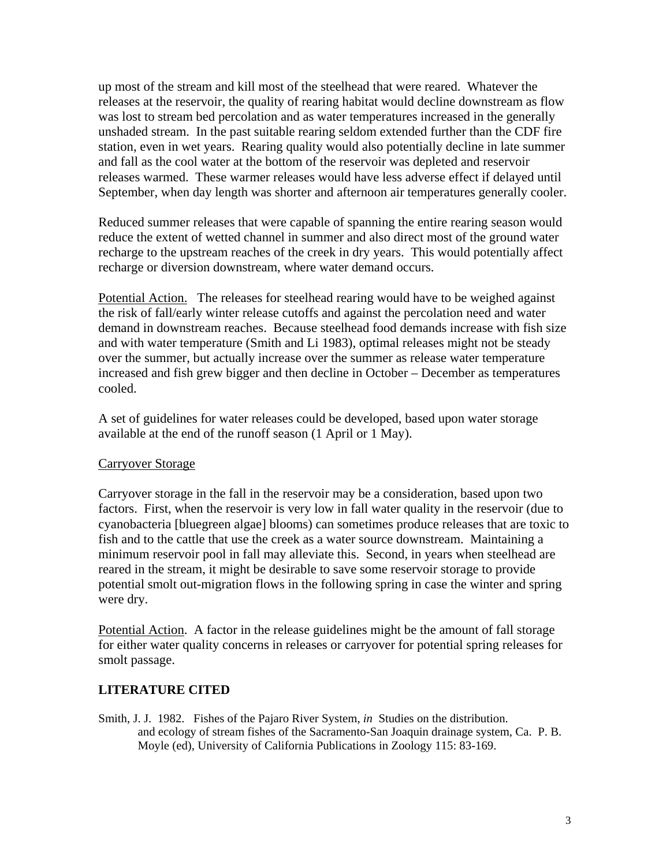up most of the stream and kill most of the steelhead that were reared. Whatever the releases at the reservoir, the quality of rearing habitat would decline downstream as flow was lost to stream bed percolation and as water temperatures increased in the generally unshaded stream. In the past suitable rearing seldom extended further than the CDF fire station, even in wet years. Rearing quality would also potentially decline in late summer and fall as the cool water at the bottom of the reservoir was depleted and reservoir releases warmed. These warmer releases would have less adverse effect if delayed until September, when day length was shorter and afternoon air temperatures generally cooler.

Reduced summer releases that were capable of spanning the entire rearing season would reduce the extent of wetted channel in summer and also direct most of the ground water recharge to the upstream reaches of the creek in dry years. This would potentially affect recharge or diversion downstream, where water demand occurs.

Potential Action. The releases for steelhead rearing would have to be weighed against the risk of fall/early winter release cutoffs and against the percolation need and water demand in downstream reaches. Because steelhead food demands increase with fish size and with water temperature (Smith and Li 1983), optimal releases might not be steady over the summer, but actually increase over the summer as release water temperature increased and fish grew bigger and then decline in October – December as temperatures cooled.

A set of guidelines for water releases could be developed, based upon water storage available at the end of the runoff season (1 April or 1 May).

## Carryover Storage

Carryover storage in the fall in the reservoir may be a consideration, based upon two factors. First, when the reservoir is very low in fall water quality in the reservoir (due to cyanobacteria [bluegreen algae] blooms) can sometimes produce releases that are toxic to fish and to the cattle that use the creek as a water source downstream. Maintaining a minimum reservoir pool in fall may alleviate this. Second, in years when steelhead are reared in the stream, it might be desirable to save some reservoir storage to provide potential smolt out-migration flows in the following spring in case the winter and spring were dry.

Potential Action. A factor in the release guidelines might be the amount of fall storage for either water quality concerns in releases or carryover for potential spring releases for smolt passage.

#### **LITERATURE CITED**

Smith, J. J. 1982. Fishes of the Pajaro River System, *in* Studies on the distribution. and ecology of stream fishes of the Sacramento-San Joaquin drainage system, Ca. P. B. Moyle (ed), University of California Publications in Zoology 115: 83-169.